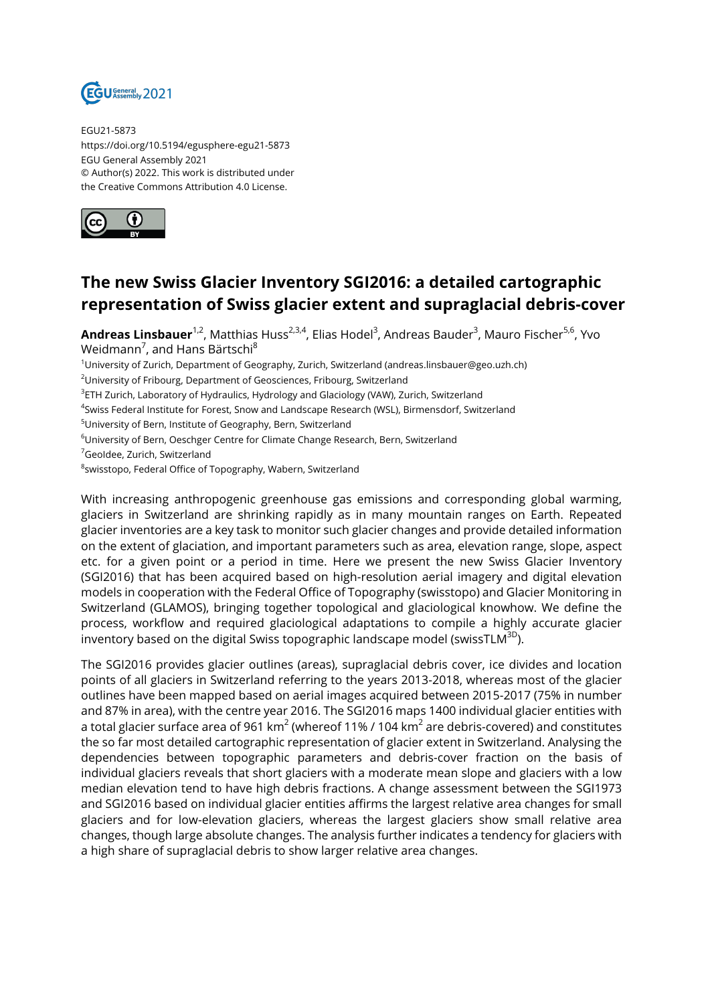

EGU21-5873 https://doi.org/10.5194/egusphere-egu21-5873 EGU General Assembly 2021 © Author(s) 2022. This work is distributed under the Creative Commons Attribution 4.0 License.



## **The new Swiss Glacier Inventory SGI2016: a detailed cartographic representation of Swiss glacier extent and supraglacial debris-cover**

**Andreas Linsbauer**<sup>1,2</sup>, Matthias Huss<sup>2,3,4</sup>, Elias Hodel<sup>3</sup>, Andreas Bauder<sup>3</sup>, Mauro Fischer<sup>5,6</sup>, Yvo Weidmann<sup>7</sup>, and Hans Bärtschi<sup>8</sup>

<sup>1</sup>University of Zurich, Department of Geography, Zurich, Switzerland (andreas.linsbauer@geo.uzh.ch)

<sup>2</sup>University of Fribourg, Department of Geosciences, Fribourg, Switzerland

 $^3$ ETH Zurich, Laboratory of Hydraulics, Hydrology and Glaciology (VAW), Zurich, Switzerland

4 Swiss Federal Institute for Forest, Snow and Landscape Research (WSL), Birmensdorf, Switzerland

<sup>5</sup>University of Bern, Institute of Geography, Bern, Switzerland

<sup>6</sup>University of Bern, Oeschger Centre for Climate Change Research, Bern, Switzerland

<sup>7</sup>GeoIdee, Zurich, Switzerland

 $^8$ swisstopo, Federal Office of Topography, Wabern, Switzerland

With increasing anthropogenic greenhouse gas emissions and corresponding global warming, glaciers in Switzerland are shrinking rapidly as in many mountain ranges on Earth. Repeated glacier inventories are a key task to monitor such glacier changes and provide detailed information on the extent of glaciation, and important parameters such as area, elevation range, slope, aspect etc. for a given point or a period in time. Here we present the new Swiss Glacier Inventory (SGI2016) that has been acquired based on high-resolution aerial imagery and digital elevation models in cooperation with the Federal Office of Topography (swisstopo) and Glacier Monitoring in Switzerland (GLAMOS), bringing together topological and glaciological knowhow. We define the process, workflow and required glaciological adaptations to compile a highly accurate glacier inventory based on the digital Swiss topographic landscape model (swissTLM $^{3D}$ ).

The SGI2016 provides glacier outlines (areas), supraglacial debris cover, ice divides and location points of all glaciers in Switzerland referring to the years 2013-2018, whereas most of the glacier outlines have been mapped based on aerial images acquired between 2015-2017 (75% in number and 87% in area), with the centre year 2016. The SGI2016 maps 1400 individual glacier entities with a total glacier surface area of 961 km $^2$  (whereof 11% / 104 km $^2$  are debris-covered) and constitutes the so far most detailed cartographic representation of glacier extent in Switzerland. Analysing the dependencies between topographic parameters and debris-cover fraction on the basis of individual glaciers reveals that short glaciers with a moderate mean slope and glaciers with a low median elevation tend to have high debris fractions. A change assessment between the SGI1973 and SGI2016 based on individual glacier entities affirms the largest relative area changes for small glaciers and for low-elevation glaciers, whereas the largest glaciers show small relative area changes, though large absolute changes. The analysis further indicates a tendency for glaciers with a high share of supraglacial debris to show larger relative area changes.